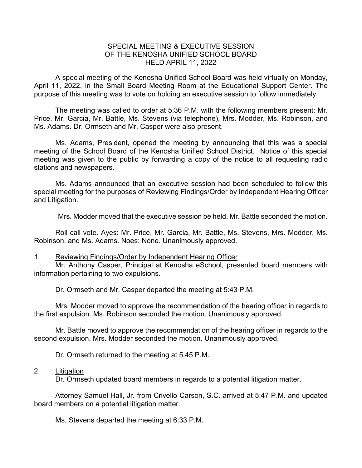## SPECIAL MEETING & EXECUTIVE SESSION OF THE KENOSHA UNIFIED SCHOOL BOARD HELD APRIL 11, 2022

A special meeting of the Kenosha Unified School Board was held virtually on Monday, April 11, 2022, in the Small Board Meeting Room at the Educational Support Center. The purpose of this meeting was to vote on holding an executive session to follow immediately.

The meeting was called to order at 5:36 P.M. with the following members present: Mr. Price, Mr. Garcia, Mr. Battle, Ms. Stevens (via telephone), Mrs. Modder, Ms. Robinson, and Ms. Adams. Dr. Ormseth and Mr. Casper were also present.

Ms. Adams, President, opened the meeting by announcing that this was a special meeting of the School Board of the Kenosha Unified School District. Notice of this special meeting was given to the public by forwarding a copy of the notice to all requesting radio stations and newspapers.

Ms. Adams announced that an executive session had been scheduled to follow this special meeting for the purposes of Reviewing Findings/Order by Independent Hearing Officer and Litigation.

Mrs. Modder moved that the executive session be held. Mr. Battle seconded the motion.

Roll call vote. Ayes: Mr. Price, Mr. Garcia, Mr. Battle, Ms. Stevens, Mrs. Modder, Ms. Robinson, and Ms. Adams. Noes: None. Unanimously approved.

## 1. Reviewing Findings/Order by Independent Hearing Officer

Mr. Anthony Casper, Principal at Kenosha eSchool, presented board members with information pertaining to two expulsions.

Dr. Ormseth and Mr. Casper departed the meeting at 5:43 P.M.

Mrs. Modder moved to approve the recommendation of the hearing officer in regards to the first expulsion. Ms. Robinson seconded the motion. Unanimously approved.

Mr. Battle moved to approve the recommendation of the hearing officer in regards to the second expulsion. Mrs. Modder seconded the motion. Unanimously approved.

Dr. Ormseth returned to the meeting at 5:45 P.M.

## 2. Litigation

Dr. Ormseth updated board members in regards to a potential litigation matter.

Attorney Samuel Hall, Jr. from Crivello Carson, S.C. arrived at 5:47 P.M. and updated board members on a potential litigation matter.

Ms. Stevens departed the meeting at 6:33 P.M.